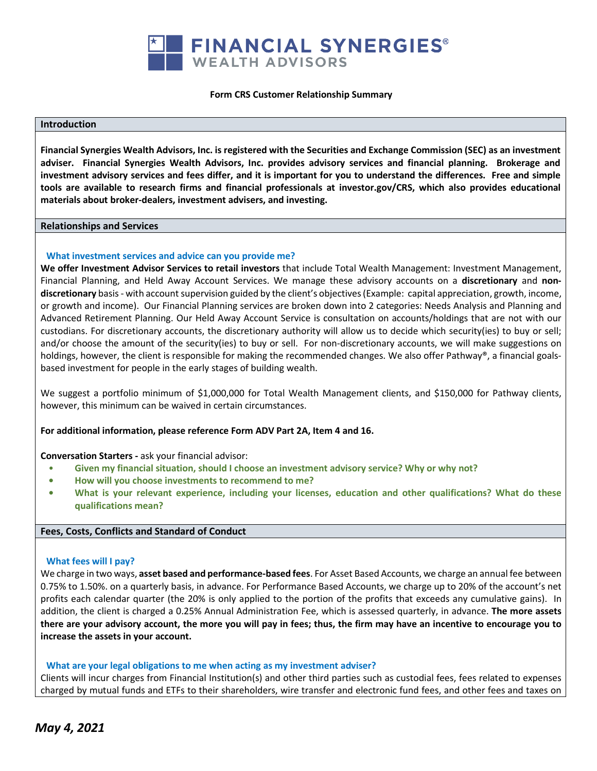

#### **Form CRS Customer Relationship Summary**

# **Introduction**

**Financial Synergies Wealth Advisors, Inc. is registered with the Securities and Exchange Commission (SEC) as an investment adviser. Financial Synergies Wealth Advisors, Inc. provides advisory services and financial planning. Brokerage and investment advisory services and fees differ, and it is important for you to understand the differences. Free and simple tools are available to research firms and financial professionals at investor.gov/CRS, which also provides educational materials about broker-dealers, investment advisers, and investing.** 

### **Relationships and Services**

### **What investment services and advice can you provide me?**

**We offer Investment Advisor Services to retail investors** that include Total Wealth Management: Investment Management, Financial Planning, and Held Away Account Services. We manage these advisory accounts on a **discretionary** and **nondiscretionary** basis - with account supervision guided by the client's objectives (Example: capital appreciation, growth, income, or growth and income). Our Financial Planning services are broken down into 2 categories: Needs Analysis and Planning and Advanced Retirement Planning. Our Held Away Account Service is consultation on accounts/holdings that are not with our custodians. For discretionary accounts, the discretionary authority will allow us to decide which security(ies) to buy or sell; and/or choose the amount of the security(ies) to buy or sell. For non-discretionary accounts, we will make suggestions on holdings, however, the client is responsible for making the recommended changes. We also offer Pathway®, a financial goalsbased investment for people in the early stages of building wealth.

We suggest a portfolio minimum of \$1,000,000 for Total Wealth Management clients, and \$150,000 for Pathway clients, however, this minimum can be waived in certain circumstances.

# **For additional information, please reference Form ADV Part 2A, Item 4 and 16.**

#### **Conversation Starters -** ask your financial advisor:

- **Given my financial situation, should I choose an investment advisory service? Why or why not?**
- **• How will you choose investments to recommend to me?**
- **• What is your relevant experience, including your licenses, education and other qualifications? What do these qualifications mean?**

# **Fees, Costs, Conflicts and Standard of Conduct**

### **What fees will I pay?**

We charge in two ways, **asset based and performance-based fees**. For Asset Based Accounts, we charge an annual fee between 0.75% to 1.50%. on a quarterly basis, in advance. For Performance Based Accounts, we charge up to 20% of the account's net profits each calendar quarter (the 20% is only applied to the portion of the profits that exceeds any cumulative gains). In addition, the client is charged a 0.25% Annual Administration Fee, which is assessed quarterly, in advance. **The more assets there are your advisory account, the more you will pay in fees; thus, the firm may have an incentive to encourage you to increase the assets in your account.**

# **What are your legal obligations to me when acting as my investment adviser?**

Clients will incur charges from Financial Institution(s) and other third parties such as custodial fees, fees related to expenses charged by mutual funds and ETFs to their shareholders, wire transfer and electronic fund fees, and other fees and taxes on